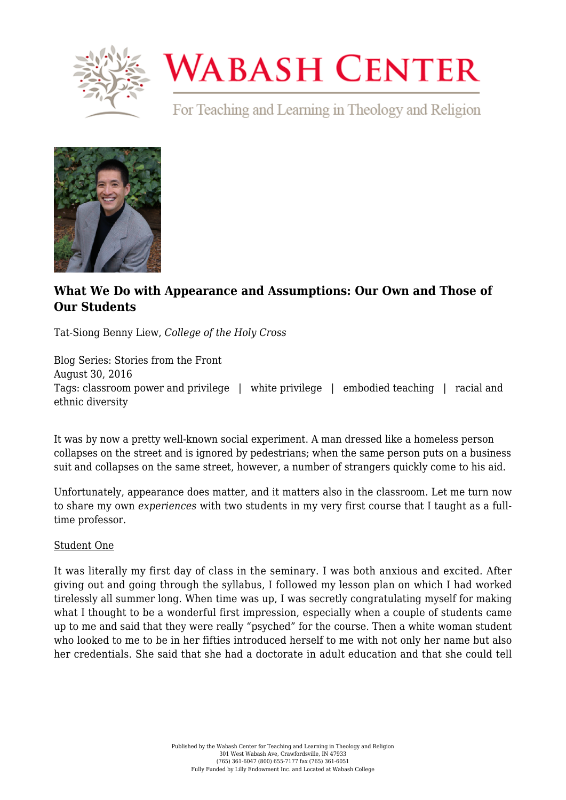

## **WABASH CENTER**

For Teaching and Learning in Theology and Religion



## **[What We Do with Appearance and Assumptions: Our Own and Those of](https://www.wabashcenter.wabash.edu/2016/08/what-we-do-with-appearance-and-assumptions-our-own-and-those-of-our-students/) [Our Students](https://www.wabashcenter.wabash.edu/2016/08/what-we-do-with-appearance-and-assumptions-our-own-and-those-of-our-students/)**

Tat-Siong Benny Liew, *College of the Holy Cross*

Blog Series: Stories from the Front August 30, 2016 Tags: classroom power and privilege | white privilege | embodied teaching | racial and ethnic diversity

It was by now a pretty well-known social experiment. A man dressed like a homeless person collapses on the street and is ignored by pedestrians; when the same person puts on a business suit and collapses on the same street, however, a number of strangers quickly come to his aid.

Unfortunately, appearance does matter, and it matters also in the classroom. Let me turn now to share my own *experiences* with two students in my very first course that I taught as a fulltime professor.

## Student One

It was literally my first day of class in the seminary. I was both anxious and excited. After giving out and going through the syllabus, I followed my lesson plan on which I had worked tirelessly all summer long. When time was up, I was secretly congratulating myself for making what I thought to be a wonderful first impression, especially when a couple of students came up to me and said that they were really "psyched" for the course. Then a white woman student who looked to me to be in her fifties introduced herself to me with not only her name but also her credentials. She said that she had a doctorate in adult education and that she could tell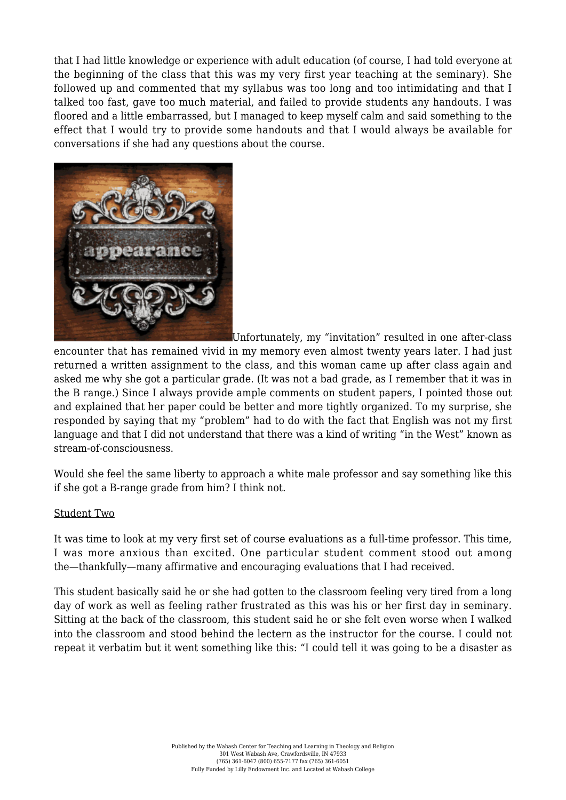that I had little knowledge or experience with adult education (of course, I had told everyone at the beginning of the class that this was my very first year teaching at the seminary). She followed up and commented that my syllabus was too long and too intimidating and that I talked too fast, gave too much material, and failed to provide students any handouts. I was floored and a little embarrassed, but I managed to keep myself calm and said something to the effect that I would try to provide some handouts and that I would always be available for conversations if she had any questions about the course.



Unfortunately, my "invitation" resulted in one after-class

encounter that has remained vivid in my memory even almost twenty years later. I had just returned a written assignment to the class, and this woman came up after class again and asked me why she got a particular grade. (It was not a bad grade, as I remember that it was in the B range.) Since I always provide ample comments on student papers, I pointed those out and explained that her paper could be better and more tightly organized. To my surprise, she responded by saying that my "problem" had to do with the fact that English was not my first language and that I did not understand that there was a kind of writing "in the West" known as stream-of-consciousness.

Would she feel the same liberty to approach a white male professor and say something like this if she got a B-range grade from him? I think not.

## Student Two

It was time to look at my very first set of course evaluations as a full-time professor. This time, I was more anxious than excited. One particular student comment stood out among the—thankfully—many affirmative and encouraging evaluations that I had received.

This student basically said he or she had gotten to the classroom feeling very tired from a long day of work as well as feeling rather frustrated as this was his or her first day in seminary. Sitting at the back of the classroom, this student said he or she felt even worse when I walked into the classroom and stood behind the lectern as the instructor for the course. I could not repeat it verbatim but it went something like this: "I could tell it was going to be a disaster as